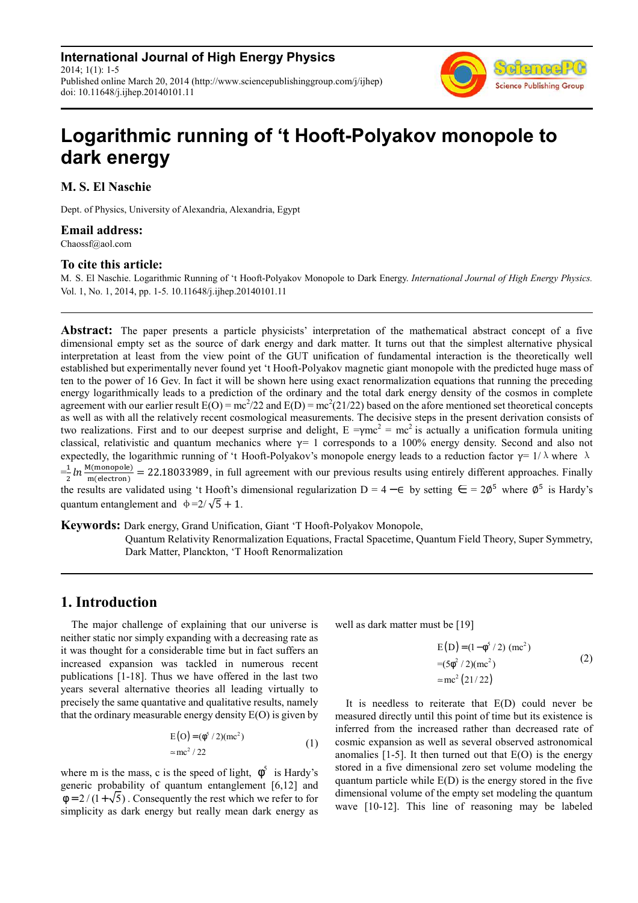**International Journal of High Energy Physics** 2014; 1(1): 1-5 Published online March 20, 2014 (http://www.sciencepublishinggroup.com/j/ijhep) doi: 10.11648/j.ijhep.20140101.11



# **Logarithmic running of 't Hooft-Polyakov monopole to dark energy**

**M. S. El Naschie** 

Dept. of Physics, University of Alexandria, Alexandria, Egypt

#### **Email address:**

Chaossf@aol.com

#### **To cite this article:**

M. S. El Naschie. Logarithmic Running of 't Hooft-Polyakov Monopole to Dark Energy. *International Journal of High Energy Physics.*  Vol. 1, No. 1, 2014, pp. 1-5. 10.11648/j.ijhep.20140101.11

**Abstract:** The paper presents a particle physicists' interpretation of the mathematical abstract concept of a five dimensional empty set as the source of dark energy and dark matter. It turns out that the simplest alternative physical interpretation at least from the view point of the GUT unification of fundamental interaction is the theoretically well established but experimentally never found yet 't Hooft-Polyakov magnetic giant monopole with the predicted huge mass of ten to the power of 16 Gev. In fact it will be shown here using exact renormalization equations that running the preceding energy logarithmically leads to a prediction of the ordinary and the total dark energy density of the cosmos in complete agreement with our earlier result  $E(O) = mc^2/22$  and  $E(D) = mc^2(21/22)$  based on the afore mentioned set theoretical concepts as well as with all the relatively recent cosmological measurements. The decisive steps in the present derivation consists of two realizations. First and to our deepest surprise and delight,  $E = \gamma mc^2 = mc^2$  is actually a unification formula uniting classical, relativistic and quantum mechanics where  $\gamma$ = 1 corresponds to a 100% energy density. Second and also not expectedly, the logarithmic running of 't Hooft-Polyakov's monopole energy leads to a reduction factor  $\gamma = 1/\lambda$  where  $\lambda$  $=\frac{1}{2} ln \frac{M(monopole)}{m(electron)}$ 
 22.18033989, in full agreement with our previous results using entirely different approaches. Finally the results are validated using 't Hooft's dimensional regularization D = 4 –  $\in$  by setting  $\in$  = 2 $\emptyset^5$  where  $\emptyset^5$  is Hardy's quantum entanglement and  $\phi = 2/\sqrt{5} + 1$ .

**Keywords:** Dark energy, Grand Unification, Giant 'T Hooft-Polyakov Monopole,

Quantum Relativity Renormalization Equations, Fractal Spacetime, Quantum Field Theory, Super Symmetry, Dark Matter, Planckton, 'T Hooft Renormalization

## **1. Introduction**

The major challenge of explaining that our universe is neither static nor simply expanding with a decreasing rate as it was thought for a considerable time but in fact suffers an increased expansion was tackled in numerous recent publications [1-18]. Thus we have offered in the last two years several alternative theories all leading virtually to precisely the same quantative and qualitative results, namely that the ordinary measurable energy density  $E(O)$  is given by

$$
E(O) = (\phi^5 / 2)(mc^2)
$$
  
= mc<sup>2</sup> / 22 (1)

where m is the mass, c is the speed of light,  $\phi^5$  is Hardy's generic probability of quantum entanglement [6,12] and  $\phi = 2/(1+\sqrt{5})$ . Consequently the rest which we refer to for simplicity as dark energy but really mean dark energy as

well as dark matter must be [19]

$$
E(D) = (1 - \phi^{5} / 2) \text{ (mc}^{2})
$$
  
=  $(5\phi^{2} / 2) \text{ (mc}^{2})$  (2)  
= mc<sup>2</sup> (21/22)

It is needless to reiterate that E(D) could never be measured directly until this point of time but its existence is inferred from the increased rather than decreased rate of cosmic expansion as well as several observed astronomical anomalies  $[1-5]$ . It then turned out that  $E(O)$  is the energy stored in a five dimensional zero set volume modeling the quantum particle while  $E(D)$  is the energy stored in the five dimensional volume of the empty set modeling the quantum wave [10-12]. This line of reasoning may be labeled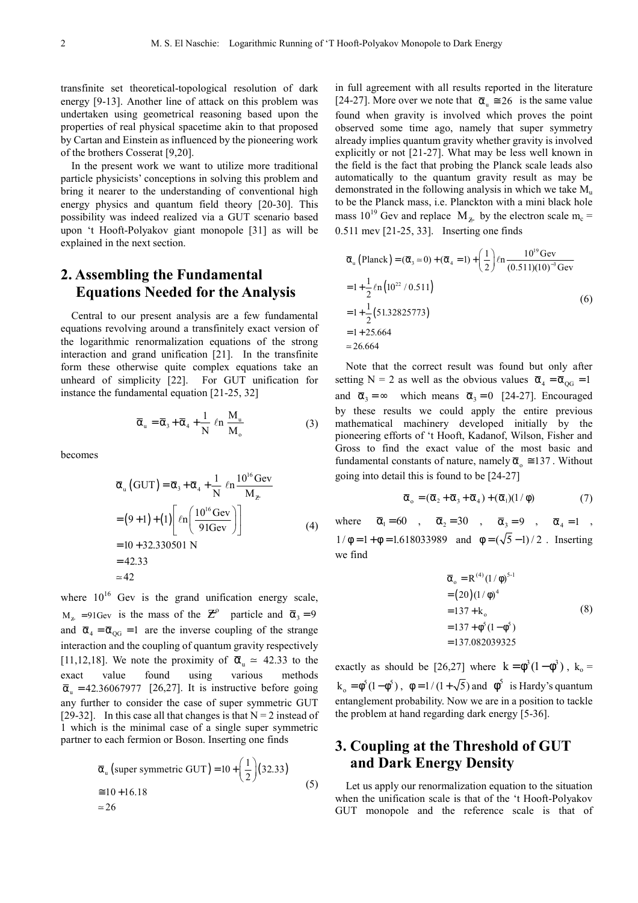transfinite set theoretical-topological resolution of dark energy [9-13]. Another line of attack on this problem was undertaken using geometrical reasoning based upon the properties of real physical spacetime akin to that proposed by Cartan and Einstein as influenced by the pioneering work of the brothers Cosserat [9,20].

In the present work we want to utilize more traditional particle physicists' conceptions in solving this problem and bring it nearer to the understanding of conventional high energy physics and quantum field theory [20-30]. This possibility was indeed realized via a GUT scenario based upon 't Hooft-Polyakov giant monopole [31] as will be explained in the next section.

# **2. Assembling the Fundamental Equations Needed for the Analysis**

Central to our present analysis are a few fundamental equations revolving around a transfinitely exact version of the logarithmic renormalization equations of the strong interaction and grand unification [21]. In the transfinite form these otherwise quite complex equations take an unheard of simplicity [22]. For GUT unification for instance the fundamental equation [21-25, 32]

$$
\overline{\alpha}_{u} = \overline{\alpha}_{3} + \overline{\alpha}_{4} + \frac{1}{N} \ln \frac{M_{u}}{M_{o}}
$$
 (3)

becomes

$$
\overline{\alpha}_{u} (GUT) = \overline{\alpha}_{3} + \overline{\alpha}_{4} + \frac{1}{N} \ln \frac{10^{16} \text{ GeV}}{M_{Z}}
$$
  
= (9+1)+(1)  $\left[ \ln \left( \frac{10^{16} \text{ GeV}}{91 \text{ GeV}} \right) \right]$   
= 10 + 32.330501 N  
= 42.33  
~42

where  $10^{16}$  Gev is the grand unification energy scale,  $M_z = 91$ Gev is the mass of the  $\mathbb{Z}^{\circ}$  particle and  $\overline{\alpha}_3 = 9$ and  $\bar{\alpha}_4 = \bar{\alpha}_{OG} = 1$  are the inverse coupling of the strange interaction and the coupling of quantum gravity respectively [11,12,18]. We note the proximity of  $\bar{\alpha}_u$  = 42.33 to the exact value found using various methods  $\overline{\alpha}_n = 42.36067977$  [26,27]. It is instructive before going any further to consider the case of super symmetric GUT [29-32]. In this case all that changes is that  $N = 2$  instead of 1 which is the minimal case of a single super symmetric partner to each fermion or Boson. Inserting one finds

$$
\overline{\alpha}_{u} \text{ (super symmetric GUT)} = 10 + \left(\frac{1}{2}\right) (32.33)
$$
  
\n
$$
\approx 10 + 16.18
$$
  
\n
$$
\approx 26
$$
\n(5)

in full agreement with all results reported in the literature [24-27]. More over we note that  $\bar{\alpha}_u \approx 26$  is the same value found when gravity is involved which proves the point observed some time ago, namely that super symmetry already implies quantum gravity whether gravity is involved explicitly or not [21-27]. What may be less well known in the field is the fact that probing the Planck scale leads also automatically to the quantum gravity result as may be demonstrated in the following analysis in which we take  $M_{\text{u}}$ to be the Planck mass, i.e. Planckton with a mini black hole mass 10<sup>19</sup> Gev and replace  $M_z$  by the electron scale m<sub>c</sub> = 0.511 mev [21-25, 33]. Inserting one finds

$$
\overline{\alpha}_{u} \left( \text{Planck} \right) = (\overline{\alpha}_{3} \approx 0) + (\overline{\alpha}_{4} = 1) + \left( \frac{1}{2} \right) \ln \frac{10^{19} \text{Gev}}{(0.511)(10)^{-3} \text{Gev}} \n= 1 + \frac{1}{2} \ln \left( 10^{22} / 0.511 \right) \n= 1 + \frac{1}{2} \left( 51.32825773 \right) \n= 1 + 25.664 \n\approx 26.664
$$
\n(6)

Note that the correct result was found but only after setting N = 2 as well as the obvious values  $\bar{\alpha}_4 = \bar{\alpha}_{OG} = 1$ and  $\bar{\alpha}_3 = \infty$  which means  $\bar{\alpha}_3 = 0$  [24-27]. Encouraged by these results we could apply the entire previous mathematical machinery developed initially by the pioneering efforts of 't Hooft, Kadanof, Wilson, Fisher and Gross to find the exact value of the most basic and fundamental constants of nature, namely  $\bar{\alpha}_{0} \approx 137$ . Without going into detail this is found to be [24-27]

$$
\overline{\alpha}_{0} = (\overline{\alpha}_{2} + \overline{\alpha}_{3} + \overline{\alpha}_{4}) + (\overline{\alpha}_{1})(1/\phi)
$$
\n(7)

where  $\overline{\alpha}_1 = 60$ ,  $\overline{\alpha}_2 = 30$ ,  $\overline{\alpha}_3 = 9$ ,  $\overline{\alpha}_4 = 1$ ,  $1/\phi = 1 + \phi = 1.618033989$  and  $\phi = (\sqrt{5} - 1)/2$ . Inserting we find

$$
\overline{\alpha}_{0} = R^{(4)} (1/\phi)^{5-1}
$$
  
= (20)(1/\phi)^{4}  
= 137 + k<sub>0</sub>  
= 137 + \phi^{5} (1 - \phi^{5})  
= 137.082039325

exactly as should be [26,27] where  $k = \phi^3 (1 - \phi^3)$ ,  $k_0 =$  $k_0 = \phi^5(1-\phi^5)$ ,  $\phi = 1/(1+\sqrt{5})$  and  $\phi^5$  is Hardy's quantum entanglement probability. Now we are in a position to tackle the problem at hand regarding dark energy [5-36].

# **3. Coupling at the Threshold of GUT and Dark Energy Density**

Let us apply our renormalization equation to the situation when the unification scale is that of the 't Hooft-Polyakov GUT monopole and the reference scale is that of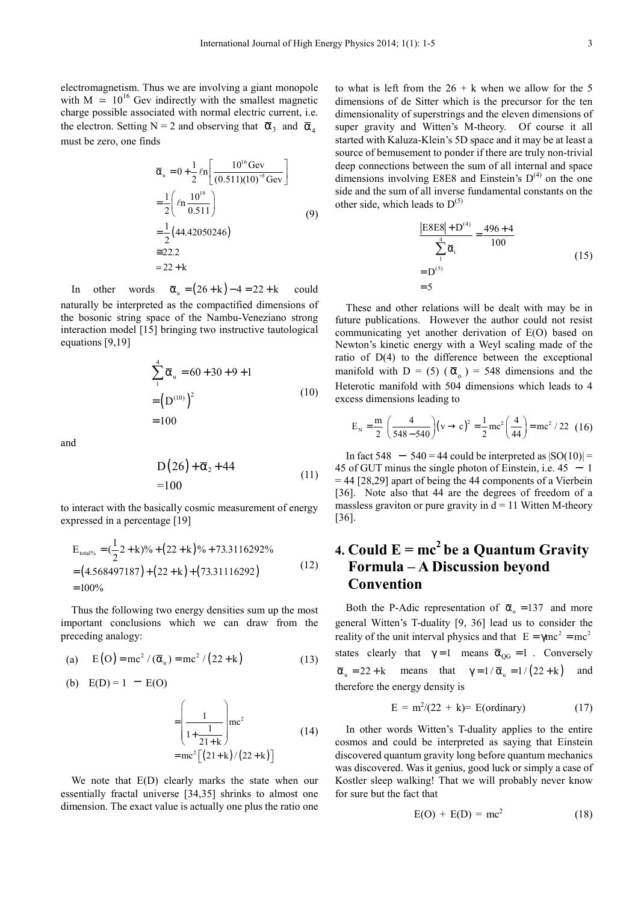electromagnetism. Thus we are involving a giant monopole with M  $\approx 10^{16}$  Gev indirectly with the smallest magnetic charge possible associated with normal electric current, i.e. the electron. Setting N = 2 and observing that  $\bar{\alpha}_3$  and  $\bar{\alpha}_4$ must be zero, one finds

$$
\overline{\alpha}_{u} = 0 + \frac{1}{2} \ln \left[ \frac{10^{16} \text{ GeV}}{(0.511)(10)^{-3} \text{ GeV}} \right]
$$
  
=  $\frac{1}{2} \left( \ln \frac{10^{19}}{0.511} \right)$  (9)  
=  $\frac{1}{2} (44.42050246)$   
 $\approx 22.2$   
 $\approx 22 + k$ 

In other words  $\overline{\alpha}_n = (26 + k) - 4 = 22 + k$  could naturally be interpreted as the compactified dimensions of the bosonic string space of the Nambu-Veneziano strong interaction model [15] bringing two instructive tautological equations [9,19]

$$
\sum_{1}^{4} \overline{\alpha}_{u} = 60 + 30 + 9 + 1
$$
  
=  $(D^{(10)})^{2}$  (10)  
= 100

and

$$
D(26) + \overline{\alpha}_2 + 44
$$
  
=100 (11)

to interact with the basically cosmic measurement of energy expressed in a percentage [19]

$$
E_{\text{total\%}} = (\frac{1}{2}2 + k)\% + (22 + k)\% + 73.3116292\%
$$
  
= (4.568497187) + (22 + k) + (73.31116292) (12)  
= 100\%

Thus the following two energy densities sum up the most important conclusions which we can draw from the preceding analogy:

(a) 
$$
E(O) = mc^2 / (\overline{\alpha}_u) = mc^2 / (22 + k)
$$
 (13)

(b) 
$$
E(D) = 1 - E(O)
$$

$$
= \left(\frac{1}{1 + \frac{1}{21 + k}}\right) mc^2
$$
\n
$$
= mc^2 \left[\frac{21 + k}{22 + k}\right] \tag{14}
$$

We note that  $E(D)$  clearly marks the state when our essentially fractal universe [34,35] shrinks to almost one dimension. The exact value is actually one plus the ratio one

to what is left from the  $26 + k$  when we allow for the 5 dimensions of de Sitter which is the precursor for the ten dimensionality of superstrings and the eleven dimensions of super gravity and Witten's M-theory. Of course it all started with Kaluza-Klein's 5D space and it may be at least a source of bemusement to ponder if there are truly non-trivial deep connections between the sum of all internal and space dimensions involving E8E8 and Einstein's  $D^{(4)}$  on the one side and the sum of all inverse fundamental constants on the other side, which leads to  $D^{(5)}$ 

(4)

$$
\frac{\left| \text{E8E8} \right| + \text{D}^{(4)}}{\sum_{i}^{4} \overline{\alpha}_{i}} = \frac{496 + 4}{100}
$$
\n
$$
= \text{D}^{(5)} = 5
$$
\n(15)

These and other relations will be dealt with may be in future publications. However the author could not resist communicating yet another derivation of E(O) based on Newton's kinetic energy with a Weyl scaling made of the ratio of D(4) to the difference between the exceptional manifold with D = (5) ( $\bar{\alpha}_o$ ) = 548 dimensions and the Heterotic manifold with 504 dimensions which leads to 4 excess dimensions leading to

$$
E_N = \frac{m}{2} \left( \frac{4}{548 - 540} \right) (v \rightarrow c)^2 = \frac{1}{2} mc^2 \left( \frac{4}{44} \right) = mc^2 / 22
$$
 (16)

In fact 548  $-540 = 44$  could be interpreted as  $|SO(10)| =$ 45 of GUT minus the single photon of Einstein, i.e.  $45 - 1$  $= 44$  [28,29] apart of being the 44 components of a Vierbein [36]. Note also that 44 are the degrees of freedom of a massless graviton or pure gravity in  $d = 11$  Witten M-theory [36].

# **4. Could**  $E = mc^2$  **be a Quantum Gravity Formula – A Discussion beyond Convention**

Both the P-Adic representation of  $\bar{\alpha}_0 = 137$  and more general Witten's T-duality [9, 36] lead us to consider the reality of the unit interval physics and that  $E = \gamma mc^2 = mc^2$ states clearly that  $\gamma = 1$  means  $\overline{\alpha}_{OG} = 1$ . Conversely  $\overline{\alpha}_u = 22 + k$  means that  $\gamma = 1/\overline{\alpha}_u = 1/(22 + k)$  and therefore the energy density is

$$
E = m2/(22 + k) = E(ordinary)
$$
 (17)

In other words Witten's T-duality applies to the entire cosmos and could be interpreted as saying that Einstein discovered quantum gravity long before quantum mechanics was discovered. Was it genius, good luck or simply a case of Kostler sleep walking! That we will probably never know for sure but the fact that

$$
E(O) + E(D) = mc2
$$
 (18)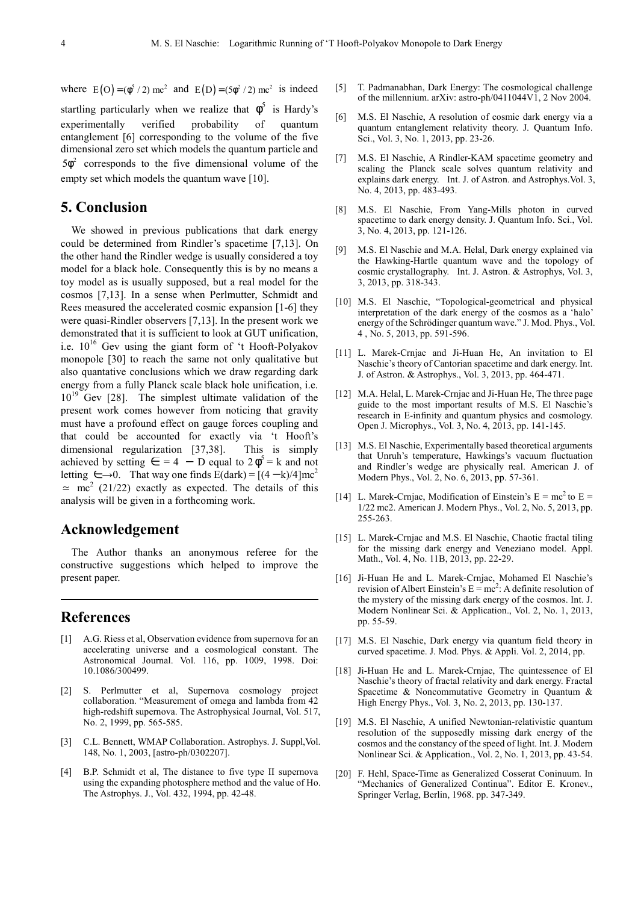where  $E(O) = (\phi^5 / 2) mc^2$  and  $E(D) = (5\phi^2 / 2) mc^2$  is indeed

startling particularly when we realize that  $\phi^5$  is Hardy's experimentally verified probability of quantum entanglement [6] corresponding to the volume of the five dimensional zero set which models the quantum particle and  $5\phi^2$  corresponds to the five dimensional volume of the empty set which models the quantum wave [10].

## **5. Conclusion**

We showed in previous publications that dark energy could be determined from Rindler's spacetime [7,13]. On the other hand the Rindler wedge is usually considered a toy model for a black hole. Consequently this is by no means a toy model as is usually supposed, but a real model for the cosmos [7,13]. In a sense when Perlmutter, Schmidt and Rees measured the accelerated cosmic expansion [1-6] they were quasi-Rindler observers [7,13]. In the present work we demonstrated that it is sufficient to look at GUT unification, i.e.  $10^{16}$  Gev using the giant form of 't Hooft-Polyakov monopole [30] to reach the same not only qualitative but also quantative conclusions which we draw regarding dark energy from a fully Planck scale black hole unification, i.e.  $10^{19}$  Gev [28]. The simplest ultimate validation of the present work comes however from noticing that gravity must have a profound effect on gauge forces coupling and that could be accounted for exactly via 't Hooft's dimensional regularization [37,38]. This is simply achieved by setting  $\epsilon = 4 - D$  equal to  $2\phi^5 = k$  and not letting  $\epsilon \rightarrow 0$ . That way one finds E(dark) = [(4 − k)/4]mc<sup>2</sup>  $\approx$  mc<sup>2</sup> (21/22) exactly as expected. The details of this analysis will be given in a forthcoming work.

### **Acknowledgement**

The Author thanks an anonymous referee for the constructive suggestions which helped to improve the present paper.

#### **References**

- [1] A.G. Riess et al, Observation evidence from supernova for an accelerating universe and a cosmological constant. The Astronomical Journal. Vol. 116, pp. 1009, 1998. Doi: 10.1086/300499.
- [2] S. Perlmutter et al, Supernova cosmology project collaboration. "Measurement of omega and lambda from 42 high-redshift supernova. The Astrophysical Journal, Vol. 517, No. 2, 1999, pp. 565-585.
- [3] C.L. Bennett, WMAP Collaboration. Astrophys. J. Suppl,Vol. 148, No. 1, 2003, [astro-ph/0302207].
- [4] B.P. Schmidt et al, The distance to five type II supernova using the expanding photosphere method and the value of Ho. The Astrophys. J., Vol. 432, 1994, pp. 42-48.
- [5] T. Padmanabhan, Dark Energy: The cosmological challenge of the millennium. arXiv: astro-ph/0411044V1, 2 Nov 2004.
- [6] M.S. El Naschie, A resolution of cosmic dark energy via a quantum entanglement relativity theory. J. Quantum Info. Sci., Vol. 3, No. 1, 2013, pp. 23-26.
- [7] M.S. El Naschie, A Rindler-KAM spacetime geometry and scaling the Planck scale solves quantum relativity and explains dark energy. Int. J. of Astron. and Astrophys.Vol. 3, No. 4, 2013, pp. 483-493.
- [8] M.S. El Naschie, From Yang-Mills photon in curved spacetime to dark energy density. J. Quantum Info. Sci., Vol. 3, No. 4, 2013, pp. 121-126.
- [9] M.S. El Naschie and M.A. Helal, Dark energy explained via the Hawking-Hartle quantum wave and the topology of cosmic crystallography. Int. J. Astron. & Astrophys, Vol. 3, 3, 2013, pp. 318-343.
- [10] M.S. El Naschie, "Topological-geometrical and physical interpretation of the dark energy of the cosmos as a 'halo' energy of the Schrödinger quantum wave." J. Mod. Phys., Vol. 4 , No. 5, 2013, pp. 591-596.
- [11] L. Marek-Crnjac and Ji-Huan He, An invitation to El Naschie's theory of Cantorian spacetime and dark energy. Int. J. of Astron. & Astrophys., Vol. 3, 2013, pp. 464-471.
- [12] M.A. Helal, L. Marek-Crnjac and Ji-Huan He, The three page guide to the most important results of M.S. El Naschie's research in E-infinity and quantum physics and cosmology. Open J. Microphys., Vol. 3, No. 4, 2013, pp. 141-145.
- [13] M.S. El Naschie, Experimentally based theoretical arguments that Unruh's temperature, Hawkings's vacuum fluctuation and Rindler's wedge are physically real. American J. of Modern Phys., Vol. 2, No. 6, 2013, pp. 57-361.
- [14] L. Marek-Crnjac, Modification of Einstein's  $E = mc^2$  to  $E =$ 1/22 mc2. American J. Modern Phys., Vol. 2, No. 5, 2013, pp. 255-263.
- [15] L. Marek-Crnjac and M.S. El Naschie, Chaotic fractal tiling for the missing dark energy and Veneziano model. Appl. Math., Vol. 4, No. 11B, 2013, pp. 22-29.
- [16] Ji-Huan He and L. Marek-Crnjac, Mohamed El Naschie's revision of Albert Einstein's  $E = mc^2$ : A definite resolution of the mystery of the missing dark energy of the cosmos. Int. J. Modern Nonlinear Sci. & Application., Vol. 2, No. 1, 2013, pp. 55-59.
- [17] M.S. El Naschie, Dark energy via quantum field theory in curved spacetime. J. Mod. Phys. & Appli. Vol. 2, 2014, pp.
- [18] Ji-Huan He and L. Marek-Crnjac, The quintessence of El Naschie's theory of fractal relativity and dark energy. Fractal Spacetime & Noncommutative Geometry in Quantum & High Energy Phys., Vol. 3, No. 2, 2013, pp. 130-137.
- [19] M.S. El Naschie, A unified Newtonian-relativistic quantum resolution of the supposedly missing dark energy of the cosmos and the constancy of the speed of light. Int. J. Modern Nonlinear Sci. & Application., Vol. 2, No. 1, 2013, pp. 43-54.
- [20] F. Hehl, Space-Time as Generalized Cosserat Coninuum. In "Mechanics of Generalized Continua". Editor E. Kronev., Springer Verlag, Berlin, 1968. pp. 347-349.